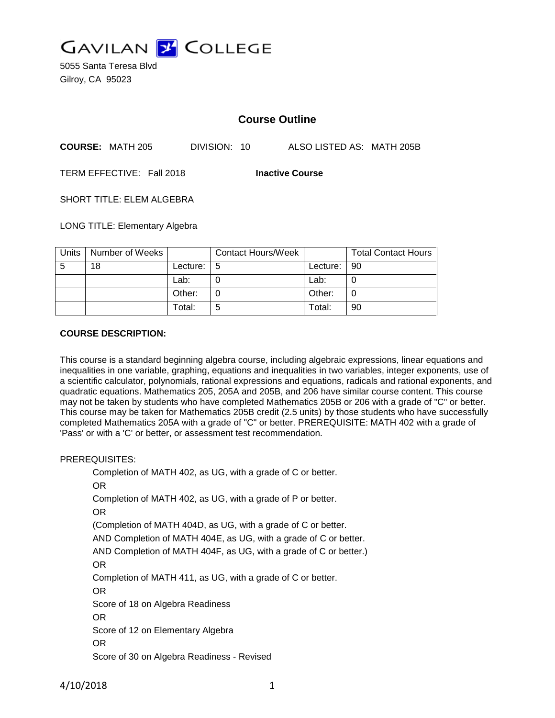

5055 Santa Teresa Blvd Gilroy, CA 95023

# **Course Outline**

**COURSE:** MATH 205 DIVISION: 10 ALSO LISTED AS: MATH 205B

TERM EFFECTIVE: Fall 2018 **Inactive Course**

SHORT TITLE: ELEM ALGEBRA

LONG TITLE: Elementary Algebra

| Units | Number of Weeks |          | <b>Contact Hours/Week</b> |             | <b>Total Contact Hours</b> |
|-------|-----------------|----------|---------------------------|-------------|----------------------------|
| -5    | 18              | Lecture: | -5                        | Lecture: 90 |                            |
|       |                 | Lab:     |                           | Lab:        |                            |
|       |                 | Other:   |                           | Other:      |                            |
|       |                 | Total:   | 5                         | Total:      | 90                         |

### **COURSE DESCRIPTION:**

This course is a standard beginning algebra course, including algebraic expressions, linear equations and inequalities in one variable, graphing, equations and inequalities in two variables, integer exponents, use of a scientific calculator, polynomials, rational expressions and equations, radicals and rational exponents, and quadratic equations. Mathematics 205, 205A and 205B, and 206 have similar course content. This course may not be taken by students who have completed Mathematics 205B or 206 with a grade of "C" or better. This course may be taken for Mathematics 205B credit (2.5 units) by those students who have successfully completed Mathematics 205A with a grade of "C" or better. PREREQUISITE: MATH 402 with a grade of 'Pass' or with a 'C' or better, or assessment test recommendation.

#### PREREQUISITES:

Completion of MATH 402, as UG, with a grade of C or better. OR Completion of MATH 402, as UG, with a grade of P or better. OR (Completion of MATH 404D, as UG, with a grade of C or better. AND Completion of MATH 404E, as UG, with a grade of C or better. AND Completion of MATH 404F, as UG, with a grade of C or better.) OR Completion of MATH 411, as UG, with a grade of C or better. OR Score of 18 on Algebra Readiness OR Score of 12 on Elementary Algebra OR Score of 30 on Algebra Readiness - Revised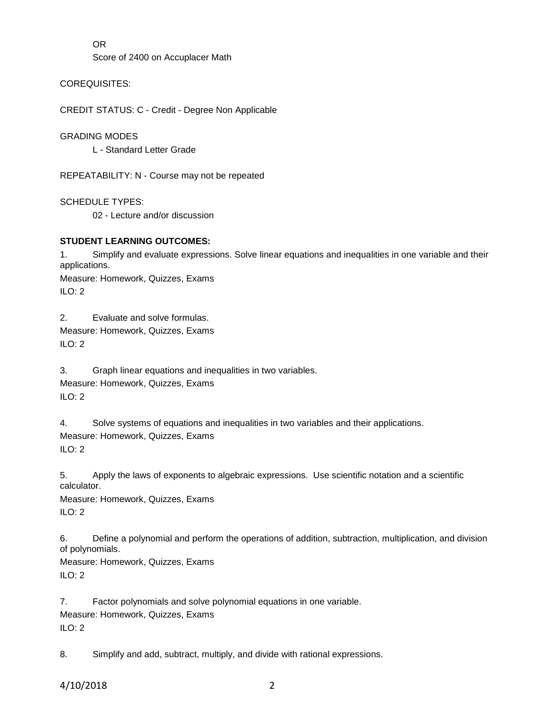OR

Score of 2400 on Accuplacer Math

COREQUISITES:

CREDIT STATUS: C - Credit - Degree Non Applicable

GRADING MODES

L - Standard Letter Grade

REPEATABILITY: N - Course may not be repeated

SCHEDULE TYPES: 02 - Lecture and/or discussion

## **STUDENT LEARNING OUTCOMES:**

1. Simplify and evaluate expressions. Solve linear equations and inequalities in one variable and their applications. Measure: Homework, Quizzes, Exams ILO: 2

2. Evaluate and solve formulas.

Measure: Homework, Quizzes, Exams ILO: 2

3. Graph linear equations and inequalities in two variables. Measure: Homework, Quizzes, Exams ILO: 2

4. Solve systems of equations and inequalities in two variables and their applications. Measure: Homework, Quizzes, Exams ILO: 2

5. Apply the laws of exponents to algebraic expressions. Use scientific notation and a scientific calculator.

Measure: Homework, Quizzes, Exams ILO: 2

6. Define a polynomial and perform the operations of addition, subtraction, multiplication, and division of polynomials. Measure: Homework, Quizzes, Exams

 $ILO: 2$ 

7. Factor polynomials and solve polynomial equations in one variable. Measure: Homework, Quizzes, Exams  $ILO: 2$ 

8. Simplify and add, subtract, multiply, and divide with rational expressions.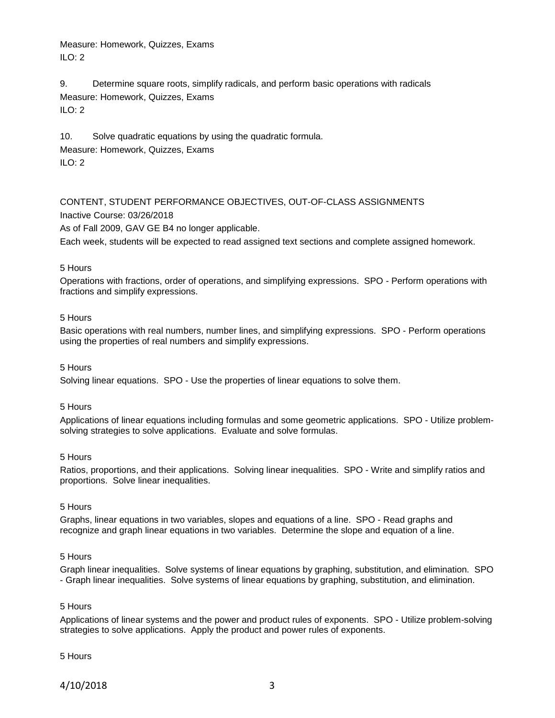Measure: Homework, Quizzes, Exams  $II$  O: 2

9. Determine square roots, simplify radicals, and perform basic operations with radicals Measure: Homework, Quizzes, Exams ILO: 2

10. Solve quadratic equations by using the quadratic formula. Measure: Homework, Quizzes, Exams ILO: 2

# CONTENT, STUDENT PERFORMANCE OBJECTIVES, OUT-OF-CLASS ASSIGNMENTS

Inactive Course: 03/26/2018

As of Fall 2009, GAV GE B4 no longer applicable.

Each week, students will be expected to read assigned text sections and complete assigned homework.

#### 5 Hours

Operations with fractions, order of operations, and simplifying expressions. SPO - Perform operations with fractions and simplify expressions.

#### 5 Hours

Basic operations with real numbers, number lines, and simplifying expressions. SPO - Perform operations using the properties of real numbers and simplify expressions.

#### 5 Hours

Solving linear equations. SPO - Use the properties of linear equations to solve them.

#### 5 Hours

Applications of linear equations including formulas and some geometric applications. SPO - Utilize problemsolving strategies to solve applications. Evaluate and solve formulas.

#### 5 Hours

Ratios, proportions, and their applications. Solving linear inequalities. SPO - Write and simplify ratios and proportions. Solve linear inequalities.

### 5 Hours

Graphs, linear equations in two variables, slopes and equations of a line. SPO - Read graphs and recognize and graph linear equations in two variables. Determine the slope and equation of a line.

#### 5 Hours

Graph linear inequalities. Solve systems of linear equations by graphing, substitution, and elimination. SPO - Graph linear inequalities. Solve systems of linear equations by graphing, substitution, and elimination.

#### 5 Hours

Applications of linear systems and the power and product rules of exponents. SPO - Utilize problem-solving strategies to solve applications. Apply the product and power rules of exponents.

#### 5 Hours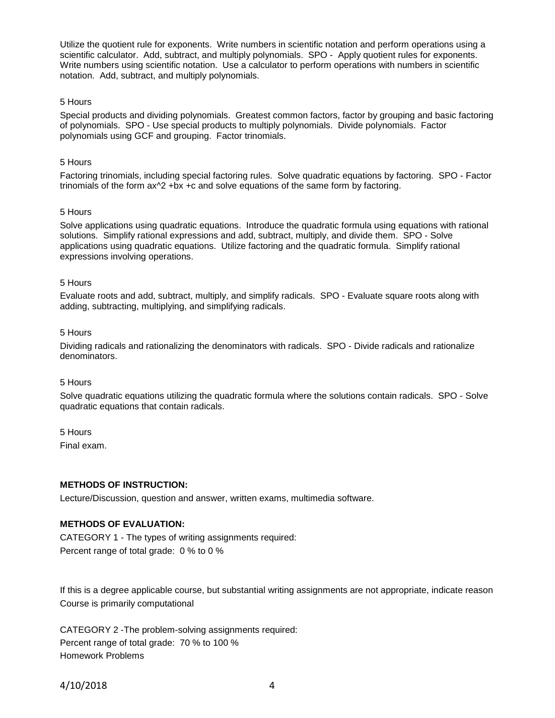Utilize the quotient rule for exponents. Write numbers in scientific notation and perform operations using a scientific calculator. Add, subtract, and multiply polynomials. SPO - Apply quotient rules for exponents. Write numbers using scientific notation. Use a calculator to perform operations with numbers in scientific notation. Add, subtract, and multiply polynomials.

### 5 Hours

Special products and dividing polynomials. Greatest common factors, factor by grouping and basic factoring of polynomials. SPO - Use special products to multiply polynomials. Divide polynomials. Factor polynomials using GCF and grouping. Factor trinomials.

#### 5 Hours

Factoring trinomials, including special factoring rules. Solve quadratic equations by factoring. SPO - Factor trinomials of the form  $ax^2 +bx +c$  and solve equations of the same form by factoring.

### 5 Hours

Solve applications using quadratic equations. Introduce the quadratic formula using equations with rational solutions. Simplify rational expressions and add, subtract, multiply, and divide them. SPO - Solve applications using quadratic equations. Utilize factoring and the quadratic formula. Simplify rational expressions involving operations.

#### 5 Hours

Evaluate roots and add, subtract, multiply, and simplify radicals. SPO - Evaluate square roots along with adding, subtracting, multiplying, and simplifying radicals.

#### 5 Hours

Dividing radicals and rationalizing the denominators with radicals. SPO - Divide radicals and rationalize denominators.

#### 5 Hours

Solve quadratic equations utilizing the quadratic formula where the solutions contain radicals. SPO - Solve quadratic equations that contain radicals.

### 5 Hours

Final exam.

### **METHODS OF INSTRUCTION:**

Lecture/Discussion, question and answer, written exams, multimedia software.

### **METHODS OF EVALUATION:**

CATEGORY 1 - The types of writing assignments required: Percent range of total grade: 0 % to 0 %

If this is a degree applicable course, but substantial writing assignments are not appropriate, indicate reason Course is primarily computational

CATEGORY 2 -The problem-solving assignments required: Percent range of total grade: 70 % to 100 % Homework Problems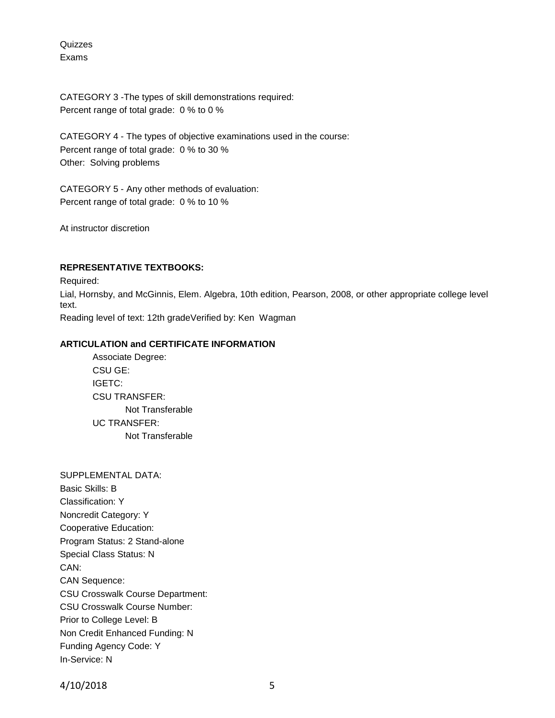Quizzes Exams

CATEGORY 3 -The types of skill demonstrations required: Percent range of total grade: 0 % to 0 %

CATEGORY 4 - The types of objective examinations used in the course: Percent range of total grade: 0 % to 30 % Other: Solving problems

CATEGORY 5 - Any other methods of evaluation: Percent range of total grade: 0 % to 10 %

At instructor discretion

### **REPRESENTATIVE TEXTBOOKS:**

Required: Lial, Hornsby, and McGinnis, Elem. Algebra, 10th edition, Pearson, 2008, or other appropriate college level text. Reading level of text: 12th gradeVerified by: Ken Wagman

## **ARTICULATION and CERTIFICATE INFORMATION**

Associate Degree: CSU GE: IGETC: CSU TRANSFER: Not Transferable UC TRANSFER: Not Transferable

SUPPLEMENTAL DATA: Basic Skills: B Classification: Y Noncredit Category: Y Cooperative Education: Program Status: 2 Stand-alone Special Class Status: N CAN: CAN Sequence: CSU Crosswalk Course Department: CSU Crosswalk Course Number: Prior to College Level: B Non Credit Enhanced Funding: N Funding Agency Code: Y In-Service: N